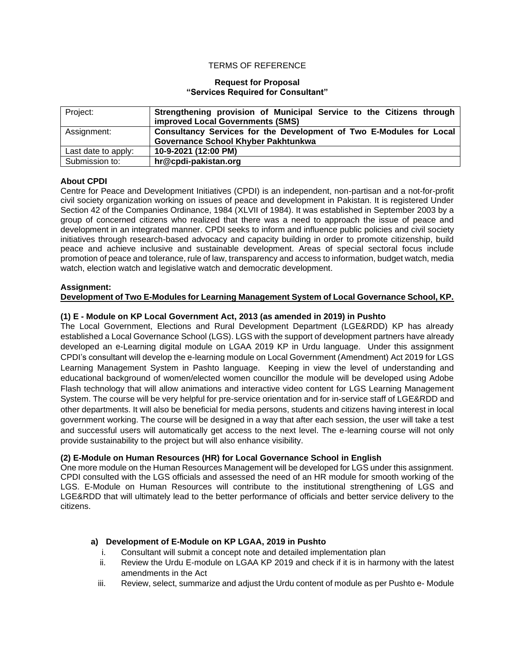### TERMS OF REFERENCE

### **Request for Proposal "Services Required for Consultant"**

| Project:            | Strengthening provision of Municipal Service to the Citizens through<br>improved Local Governments (SMS) |  |  |
|---------------------|----------------------------------------------------------------------------------------------------------|--|--|
| Assignment:         | Consultancy Services for the Development of Two E-Modules for Local                                      |  |  |
|                     | Governance School Khyber Pakhtunkwa                                                                      |  |  |
| Last date to apply: | 10-9-2021 (12:00 PM)                                                                                     |  |  |
| Submission to:      | hr@cpdi-pakistan.org                                                                                     |  |  |

## **About CPDI**

Centre for Peace and Development Initiatives (CPDI) is an independent, non-partisan and a not-for-profit civil society organization working on issues of peace and development in Pakistan. It is registered Under Section 42 of the Companies Ordinance, 1984 (XLVII of 1984). It was established in September 2003 by a group of concerned citizens who realized that there was a need to approach the issue of peace and development in an integrated manner. CPDI seeks to inform and influence public policies and civil society initiatives through research-based advocacy and capacity building in order to promote citizenship, build peace and achieve inclusive and sustainable development. Areas of special sectoral focus include promotion of peace and tolerance, rule of law, transparency and access to information, budget watch, media watch, election watch and legislative watch and democratic development.

### **Assignment:**

### **Development of Two E-Modules for Learning Management System of Local Governance School, KP.**

# **(1) E - Module on KP Local Government Act, 2013 (as amended in 2019) in Pushto**

The Local Government, Elections and Rural Development Department (LGE&RDD) KP has already established a Local Governance School (LGS). LGS with the support of development partners have already developed an e-Learning digital module on LGAA 2019 KP in Urdu language. Under this assignment CPDI's consultant will develop the e-learning module on Local Government (Amendment) Act 2019 for LGS Learning Management System in Pashto language. Keeping in view the level of understanding and educational background of women/elected women councillor the module will be developed using Adobe Flash technology that will allow animations and interactive video content for LGS Learning Management System. The course will be very helpful for pre-service orientation and for in-service staff of LGE&RDD and other departments. It will also be beneficial for media persons, students and citizens having interest in local government working. The course will be designed in a way that after each session, the user will take a test and successful users will automatically get access to the next level. The e-learning course will not only provide sustainability to the project but will also enhance visibility.

### **(2) E-Module on Human Resources (HR) for Local Governance School in English**

One more module on the Human Resources Management will be developed for LGS under this assignment. CPDI consulted with the LGS officials and assessed the need of an HR module for smooth working of the LGS. E-Module on Human Resources will contribute to the institutional strengthening of LGS and LGE&RDD that will ultimately lead to the better performance of officials and better service delivery to the citizens.

### **a) Development of E-Module on KP LGAA, 2019 in Pushto**

- i. Consultant will submit a concept note and detailed implementation plan
- ii. Review the Urdu E-module on LGAA KP 2019 and check if it is in harmony with the latest amendments in the Act
- iii. Review, select, summarize and adjust the Urdu content of module as per Pushto e- Module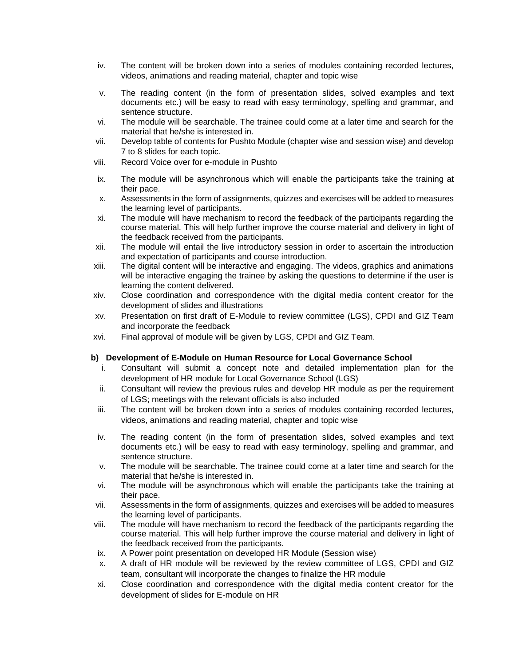- iv. The content will be broken down into a series of modules containing recorded lectures, videos, animations and reading material, chapter and topic wise
- v. The reading content (in the form of presentation slides, solved examples and text documents etc.) will be easy to read with easy terminology, spelling and grammar, and sentence structure.
- vi. The module will be searchable. The trainee could come at a later time and search for the material that he/she is interested in.
- vii. Develop table of contents for Pushto Module (chapter wise and session wise) and develop 7 to 8 slides for each topic.
- viii. Record Voice over for e-module in Pushto
- ix. The module will be asynchronous which will enable the participants take the training at their pace.
- x. Assessments in the form of assignments, quizzes and exercises will be added to measures the learning level of participants.
- xi. The module will have mechanism to record the feedback of the participants regarding the course material. This will help further improve the course material and delivery in light of the feedback received from the participants.
- xii. The module will entail the live introductory session in order to ascertain the introduction and expectation of participants and course introduction.
- xiii. The digital content will be interactive and engaging. The videos, graphics and animations will be interactive engaging the trainee by asking the questions to determine if the user is learning the content delivered.
- xiv. Close coordination and correspondence with the digital media content creator for the development of slides and illustrations
- xv. Presentation on first draft of E-Module to review committee (LGS), CPDI and GIZ Team and incorporate the feedback
- xvi. Final approval of module will be given by LGS, CPDI and GIZ Team.

## **b) Development of E-Module on Human Resource for Local Governance School**

- i. Consultant will submit a concept note and detailed implementation plan for the development of HR module for Local Governance School (LGS)
- ii. Consultant will review the previous rules and develop HR module as per the requirement of LGS; meetings with the relevant officials is also included
- iii. The content will be broken down into a series of modules containing recorded lectures, videos, animations and reading material, chapter and topic wise
- iv. The reading content (in the form of presentation slides, solved examples and text documents etc.) will be easy to read with easy terminology, spelling and grammar, and sentence structure.
- v. The module will be searchable. The trainee could come at a later time and search for the material that he/she is interested in.
- vi. The module will be asynchronous which will enable the participants take the training at their pace.
- vii. Assessments in the form of assignments, quizzes and exercises will be added to measures the learning level of participants.
- viii. The module will have mechanism to record the feedback of the participants regarding the course material. This will help further improve the course material and delivery in light of the feedback received from the participants.
- ix. A Power point presentation on developed HR Module (Session wise)
- x. A draft of HR module will be reviewed by the review committee of LGS, CPDI and GIZ team, consultant will incorporate the changes to finalize the HR module
- xi. Close coordination and correspondence with the digital media content creator for the development of slides for E-module on HR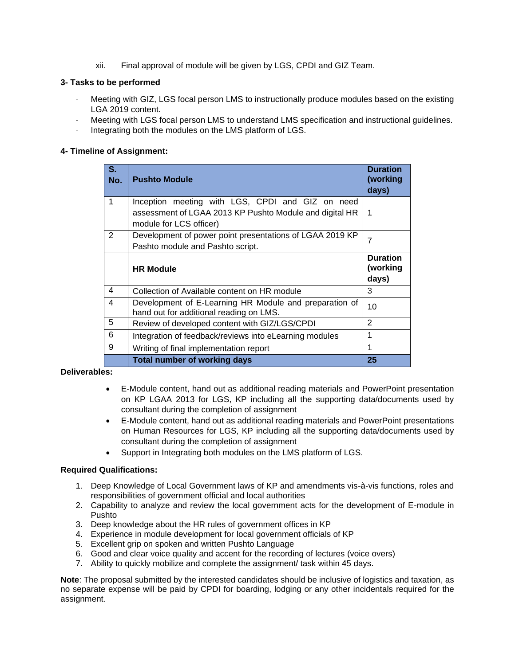xii. Final approval of module will be given by LGS, CPDI and GIZ Team.

## **3- Tasks to be performed**

- Meeting with GIZ, LGS focal person LMS to instructionally produce modules based on the existing LGA 2019 content.
- Meeting with LGS focal person LMS to understand LMS specification and instructional guidelines.
- Integrating both the modules on the LMS platform of LGS.

### **4- Timeline of Assignment:**

| $S_{1}$<br>No. | <b>Pushto Module</b>                                                                                                                   | <b>Duration</b><br>(working<br>days) |
|----------------|----------------------------------------------------------------------------------------------------------------------------------------|--------------------------------------|
| 1              | Inception meeting with LGS, CPDI and GIZ on need<br>assessment of LGAA 2013 KP Pushto Module and digital HR<br>module for LCS officer) | 1                                    |
| 2              | Development of power point presentations of LGAA 2019 KP<br>Pashto module and Pashto script.                                           | 7                                    |
|                | <b>HR Module</b>                                                                                                                       | <b>Duration</b><br>(working<br>days) |
| 4              | Collection of Available content on HR module                                                                                           | 3                                    |
| 4              | Development of E-Learning HR Module and preparation of<br>hand out for additional reading on LMS.                                      | 10                                   |
| 5              | Review of developed content with GIZ/LGS/CPDI                                                                                          | $\overline{2}$                       |
| 6              | Integration of feedback/reviews into eLearning modules                                                                                 | 1                                    |
| 9              | Writing of final implementation report                                                                                                 | 1                                    |
|                | <b>Total number of working days</b>                                                                                                    | 25                                   |

### **Deliverables:**

- E-Module content, hand out as additional reading materials and PowerPoint presentation on KP LGAA 2013 for LGS, KP including all the supporting data/documents used by consultant during the completion of assignment
- E-Module content, hand out as additional reading materials and PowerPoint presentations on Human Resources for LGS, KP including all the supporting data/documents used by consultant during the completion of assignment
- Support in Integrating both modules on the LMS platform of LGS.

## **Required Qualifications:**

- 1. Deep Knowledge of Local Government laws of KP and amendments vis-à-vis functions, roles and responsibilities of government official and local authorities
- 2. Capability to analyze and review the local government acts for the development of E-module in Pushto
- 3. Deep knowledge about the HR rules of government offices in KP
- 4. Experience in module development for local government officials of KP
- 5. Excellent grip on spoken and written Pushto Language
- 6. Good and clear voice quality and accent for the recording of lectures (voice overs)
- 7. Ability to quickly mobilize and complete the assignment/ task within 45 days.

**Note**: The proposal submitted by the interested candidates should be inclusive of logistics and taxation, as no separate expense will be paid by CPDI for boarding, lodging or any other incidentals required for the assignment.